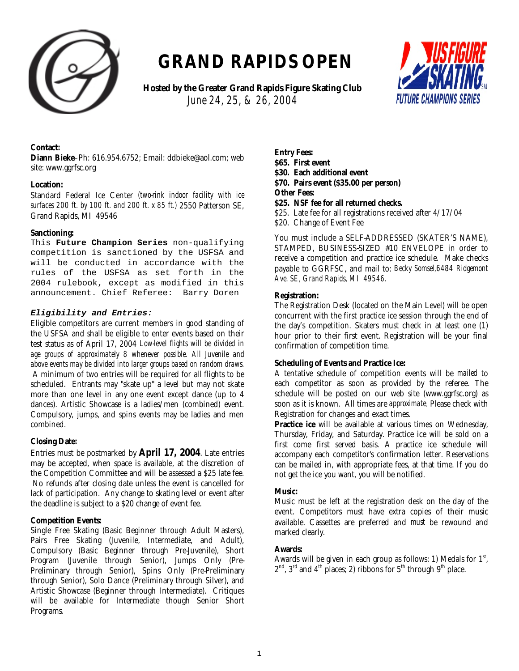

# **GRAND RAPIDS OPEN**

 **Hosted by the Greater Grand Rapids Figure Skating Club**   *June 24, 25, & 26, 2004*



#### **Contact:**

**Diann Bieke**–Ph: 616.954.6752; Email: ddbieke@aol.com; web site: www.ggrfsc.org

#### **Location:**

Standard Federal Ice Center *(two-rink indoor facility with ice surfaces 200 ft. by 100 ft. and 200 ft. x 85 ft.)* 2550 Patterson SE, Grand Rapids, MI 49546

#### **Sanctioning:**

This **Future Champion Series** non-qualifying competition is sanctioned by the USFSA and will be conducted in accordance with the rules of the USFSA as set forth in the 2004 rulebook, except as modified in this announcement. Chief Referee: Barry Doren

#### **Eligibility and Entries:**

Eligible competitors are current members in good standing of the USFSA and shall be eligible to enter events based on their test status as of April 17, 2004 *Low-level flights will be divided in age groups of approximately 8 whenever possible. All Juvenile and above events may be divided into larger groups based on random draws.*  A minimum of two entries will be required for all flights to be scheduled. Entrants may "skate up" a level but may not skate more than one level in any one event except dance (up to 4 dances). Artistic Showcase is a ladies/men (combined) event. Compulsory, jumps, and spins events may be ladies and men combined.

#### **Closing Date:**

Entries must be postmarked by **April 17, 2004**. Late entries may be accepted, when space is available, at the discretion of the Competition Committee and will be assessed a \$25 late fee. No refunds after closing date unless the event is cancelled for lack of participation. Any change to skating level or event after the deadline is subject to a \$20 change of event fee.

#### **Competition Events:**

Single Free Skating (Basic Beginner through Adult Masters), Pairs Free Skating (Juvenile, Intermediate, and Adult), Compulsory (Basic Beginner through Pre-Juvenile), Short Program (Juvenile through Senior), Jumps Only (Pre-Preliminary through Senior), Spins Only (Pre-Preliminary through Senior), Solo Dance (Preliminary through Silver), and Artistic Showcase (Beginner through Intermediate). Critiques will be available for Intermediate though Senior Short Programs.

**Entry Fees: \$65. First event \$30. Each additional event \$70. Pairs event (\$35.00 per person) Other Fees:** 

**\$25. NSF fee for all returned checks.**

\$25. Late fee for all registrations received after 4/17/04 \$20. Change of Event Fee

You must include a SELF-ADDRESSED (SKATER'S NAME), STAMPED, BUSINESS-SIZED #10 ENVELOPE in order to receive a competition and practice ice schedule. Make checks payable to GGRFSC, and mail to: *Becky Somsel,6484 Ridgemont Ave. SE, Grand Rapids, MI 49546.*

#### **Registration:**

The Registration Desk (located on the Main Level) will be open concurrent with the first practice ice session through the end of the day's competition. Skaters must check in at least one (1) hour prior to their first event. Registration will be your final confirmation of competition time.

#### **Scheduling of Events and Practice Ice:**

A tentative schedule of competition events will be *mailed* to each competitor as soon as provided by the referee. The schedule will be posted on our web site (www.ggrfsc.org) as soon as it is known. All times are *approximate*. Please check with Registration for changes and exact times.

**Practice ice** will be available at various times on Wednesday, Thursday, Friday, and Saturday. Practice ice will be sold on a first come first served basis. A practice ice schedule will accompany each competitor's confirmation letter. Reservations can be mailed in, with appropriate fees, at that time. If you do not get the ice you want, you will be notified.

#### **Music:**

Music must be left at the registration desk on the day of the event. Competitors must have extra copies of their music available. Cassettes are preferred and *must* be rewound and marked clearly.

#### **Awards:**

Awards will be given in each group as follows: 1) Medals for  $1<sup>st</sup>$ ,  $2<sup>nd</sup>$ ,  $3<sup>rd</sup>$  and  $4<sup>th</sup>$  places; 2) ribbons for  $5<sup>th</sup>$  through  $9<sup>th</sup>$  place.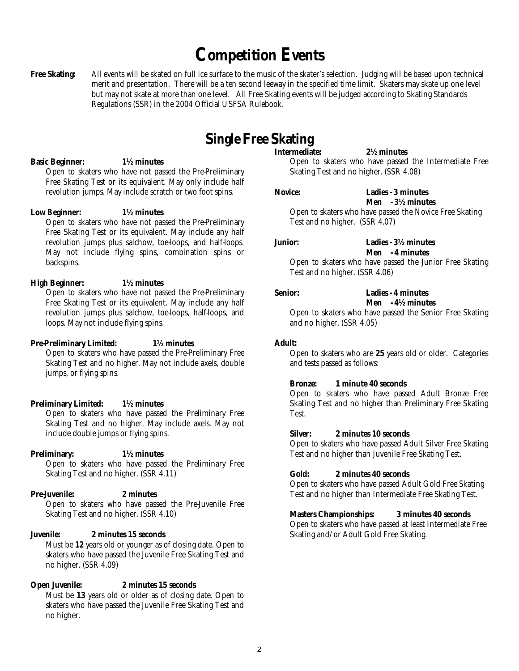# **Competition Events**

Free Skating: All events will be skated on full ice surface to the music of the skater's selection. Judging will be based upon technical merit and presentation. There will be a ten second leeway in the specified time limit. Skaters may skate up one level but may not skate at more than one level. All Free Skating events will be judged according to Skating Standards Regulations (SSR) in the 2004 Official USFSA Rulebook.

## **Single Free Skating**

#### **Basic Beginner: 1½ minutes**

Open to skaters who have not passed the Pre-Preliminary Free Skating Test or its equivalent. May only include half revolution jumps. May include scratch or two foot spins.

#### **Low Beginner: 1½ minutes**

Open to skaters who have not passed the Pre-Preliminary Free Skating Test or its equivalent. May include any half revolution jumps plus salchow, toe-loops, and half-loops. May not include flying spins, combination spins or backspins.

#### **High Beginner: 1½ minutes**

Open to skaters who have not passed the Pre-Preliminary Free Skating Test or its equivalent. May include any half revolution jumps plus salchow, toe-loops, half-loops, and loops. May not include flying spins.

#### **Pre-Preliminary Limited: 1½ minutes**

Open to skaters who have passed the Pre-Preliminary Free Skating Test and no higher. May not include axels, double jumps, or flying spins.

#### **Preliminary Limited: 1½ minutes**

Open to skaters who have passed the Preliminary Free Skating Test and no higher. May include axels. May not include double jumps or flying spins.

#### **Preliminary: 1½ minutes**

Open to skaters who have passed the Preliminary Free Skating Test and no higher. (SSR 4.11)

#### **Pre-Juvenile: 2 minutes**

#### Open to skaters who have passed the Pre-Juvenile Free Skating Test and no higher. (SSR 4.10)

#### **Juvenile: 2 minutes 15 seconds**

Must be **12** years old or younger as of closing date. Open to skaters who have passed the Juvenile Free Skating Test and no higher. (SSR 4.09)

#### **Open Juvenile: 2 minutes 15 seconds**

Must be **13** years old or older as of closing date. Open to skaters who have passed the Juvenile Free Skating Test and no higher.

### **Intermediate: 2½ minutes**

Open to skaters who have passed the Intermediate Free Skating Test and no higher. (SSR 4.08)

**Novice: Ladies - 3 minutes Men - 3½ minutes**

Open to skaters who have passed the Novice Free Skating Test and no higher. (SSR 4.07)

#### **Junior: Ladies - 3½ minutes**

 **Men - 4 minutes** 

Open to skaters who have passed the Junior Free Skating Test and no higher. (SSR 4.06)

#### **Senior: Ladies - 4 minutes**

### **Men - 4½ minutes**

Open to skaters who have passed the Senior Free Skating and no higher. (SSR 4.05)

#### **Adult:**

Open to skaters who are **25** years old or older. Categories and tests passed as follows:

#### **Bronze: 1 minute 40 seconds**

Open to skaters who have passed Adult Bronze Free Skating Test and no higher than Preliminary Free Skating Test.

#### **Silver: 2 minutes 10 seconds**

Open to skaters who have passed Adult Silver Free Skating Test and no higher than Juvenile Free Skating Test.

#### **Gold: 2 minutes 40 seconds**

Open to skaters who have passed Adult Gold Free Skating Test and no higher than Intermediate Free Skating Test.

#### **Masters Championships: 3 minutes 40 seconds**

Open to skaters who have passed at least Intermediate Free Skating and/or Adult Gold Free Skating.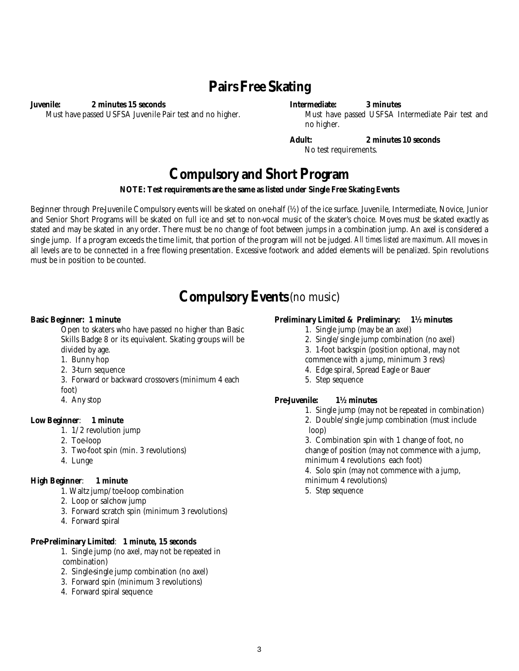### **Pairs Free Skating**

**Juvenile: 2 minutes 15 seconds**  Must have passed USFSA Juvenile Pair test and no higher.

#### **Intermediate: 3 minutes**

Must have passed USFSA Intermediate Pair test and no higher.

**Adult: 2 minutes 10 seconds** No test requirements.

### **Compulsory and Short Program**

#### **NOTE: Test requirements are the same as listed under Single Free Skating Events**

Beginner through Pre-Juvenile Compulsory events will be skated on one-half (½) of the ice surface. Juvenile, Intermediate, Novice, Junior and Senior Short Programs will be skated on full ice and set to non-vocal music of the skater's choice. Moves must be skated exactly as stated and may be skated in any order. There must be no change of foot between jumps in a combination jump. An axel is considered a single jump. If a program exceeds the time limit, that portion of the program will not be judged*. All times listed are maximum.* All moves in all levels are to be connected in a free flowing presentation. Excessive footwork and added elements will be penalized. Spin revolutions must be in position to be counted.

### **Compulsory Events**(no music)

#### **Basic Beginner: 1 minute**

Open to skaters who have passed no higher than Basic Skills Badge 8 or its equivalent. Skating groups will be divided by age.

- 1. Bunny hop
- 2. 3-turn sequence
- 3. Forward or backward crossovers (minimum 4 each
- foot)
- 4. Any stop

#### **Low Beginner**: **1 minute**

- 1. 1/2 revolution jump
- 2. Toe-loop
- 3. Two-foot spin (min. 3 revolutions)
- 4. Lunge

#### **High Beginner**: **1 minute**

- 1. Waltz jump/toe-loop combination
- 2. Loop or salchow jump
- 3. Forward scratch spin (minimum 3 revolutions)
- 4. Forward spiral

#### **Pre-Preliminary Limited**: **1 minute, 15 seconds**

- 1. Single jump (no axel, may not be repeated in combination)
- 2. Single-single jump combination (no axel)
- 3. Forward spin (minimum 3 revolutions)
- 4. Forward spiral sequence

#### **Preliminary Limited & Preliminary: 1½ minutes**

- 1. Single jump (may be an axel)
- 2. Single/single jump combination (no axel)
- 3. 1-foot backspin (position optional, may not
- commence with a jump, minimum 3 revs)
- 4. Edge spiral, Spread Eagle or Bauer
- 5. Step sequence

#### **Pre-Juvenile: 1½ minutes**

- 1. Single jump (may not be repeated in combination) 2. Double/single jump combination (must include loop)
	-

3. Combination spin with 1 change of foot, no change of position (may not commence with a jump, minimum 4 revolutions each foot)

- 4. Solo spin (may not commence with a jump, minimum 4 revolutions)
- 5. Step sequence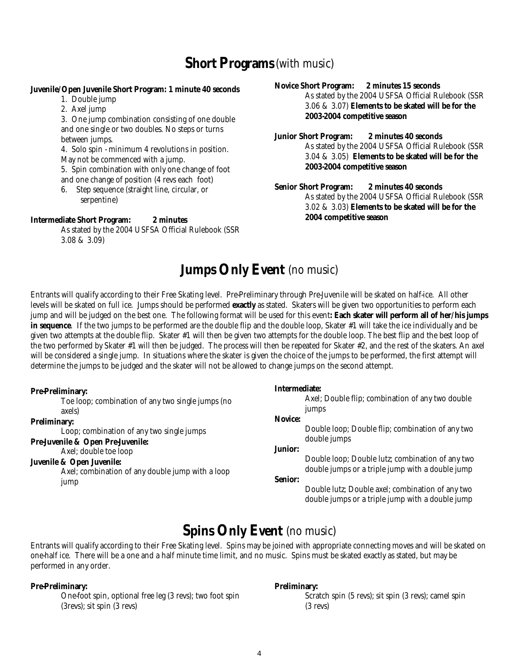### **Short Programs** (with music)

#### **Juvenile/Open Juvenile Short Program: 1 minute 40 seconds**

- 1. Double jump
- 2. Axel jump

3. One jump combination consisting of one double and one single or two doubles. No steps or turns between jumps.

4. Solo spin - minimum 4 revolutions in position. May not be commenced with a jump.

5. Spin combination with only one change of foot and one change of position (4 revs each foot)

6. Step sequence (straight line, circular, or serpentine)

#### **Intermediate Short Program: 2 minutes**

As stated by the 2004 USFSA Official Rulebook (SSR 3.08 & 3.09)

#### **Novice Short Program: 2 minutes 15 seconds**

As stated by the 2004 USFSA Official Rulebook (SSR 3.06 & 3.07) **Elements to be skated will be for the 2003-2004 competitive season** 

#### **Junior Short Program: 2 minutes 40 seconds**

As stated by the 2004 USFSA Official Rulebook (SSR 3.04 & 3.05) **Elements to be skated will be for the 2003-2004 competitive season** 

**Senior Short Program: 2 minutes 40 seconds**  As stated by the 2004 USFSA Official Rulebook (SSR 3.02 & 3.03) **Elements to be skated will be for the 2004 competitive season**

### **Jumps Only Event** (no music)

Entrants will qualify according to their Free Skating level. Pre-Preliminary through Pre-Juvenile will be skated on half-ice. All other levels will be skated on full ice. Jumps should be performed **exactly** as stated. Skaters will be given two opportunities to perform each jump and will be judged on the best one. The following format will be used for this event**: Each skater will perform all of her/his jumps in sequence**. If the two jumps to be performed are the double flip and the double loop, Skater #1 will take the ice individually and be given two attempts at the double flip. Skater #1 will then be given two attempts for the double loop. The best flip and the best loop of the two performed by Skater #1 will then be judged. The process will then be repeated for Skater #2, and the rest of the skaters. An axel will be considered a single jump. In situations where the skater is given the choice of the jumps to be performed, the first attempt will determine the jumps to be judged and the skater will not be allowed to change jumps on the second attempt.

#### **Pre-Preliminary:**  Toe loop; combination of any two single jumps (no axels) **Preliminary:**  Loop; combination of any two single jumps **Pre-Juvenile & Open Pre-Juvenile:**  Axel; double toe loop **Juvenile & Open Juvenile:**  Axel; combination of any double jump with a loop jump **Intermediate:**  Axel; Double flip; combination of any two double jumps **Novice:**  Double loop; Double flip; combination of any two double jumps **Junior:**  Double loop; Double lutz; combination of any two double jumps or a triple jump with a double jump **Senior:**  Double lutz; Double axel; combination of any two double jumps or a triple jump with a double jump

### **Spins Only Event** (no music)

Entrants will qualify according to their Free Skating level. Spins may be joined with appropriate connecting moves and will be skated on one-half ice. There will be a one and a half minute time limit, and no music. Spins must be skated exactly as stated, but may be performed in any order.

#### **Pre-Preliminary: Preliminary:**

One-foot spin, optional free leg (3 revs); two foot spin Scratch spin (5 revs); sit spin (3 revs); camel spin (3revs); sit spin (3 revs) (3 revs)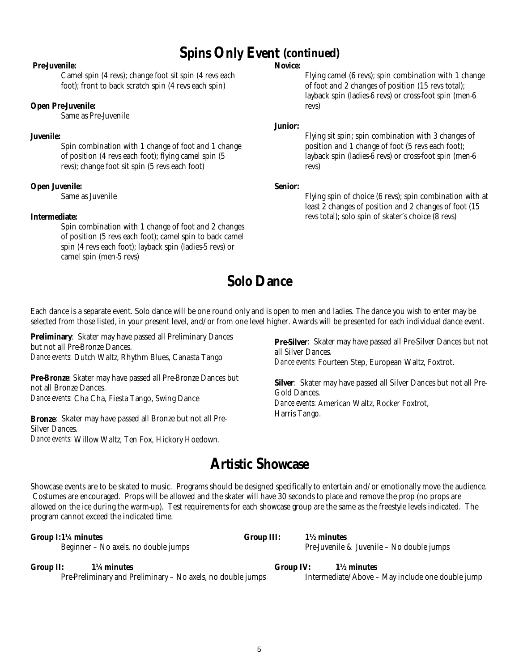### **Spins Only Event (continued)**

#### **Pre-Juvenile:**

Camel spin (4 revs); change foot sit spin (4 revs each foot); front to back scratch spin (4 revs each spin)

#### **Open Pre-Juvenile:**

Same as Pre-Juvenile

#### **Juvenile:**

Spin combination with 1 change of foot and 1 change of position (4 revs each foot); flying camel spin (5 revs); change foot sit spin (5 revs each foot)

#### **Open Juvenile:**

Same as Juvenile

#### **Intermediate:**

Spin combination with 1 change of foot and 2 changes of position (5 revs each foot); camel spin to back camel spin (4 revs each foot); layback spin (ladies-5 revs) or camel spin (men-5 revs)

#### **Novice:**

Flying camel (6 revs); spin combination with 1 change of foot and 2 changes of position (15 revs total); layback spin (ladies-6 revs) or cross-foot spin (men-6 revs)

#### **Junior:**

Flying sit spin; spin combination with 3 changes of position and 1 change of foot (5 revs each foot); layback spin (ladies-6 revs) or cross-foot spin (men-6 revs)

#### **Senior:**

Flying spin of choice (6 revs); spin combination with at least 2 changes of position and 2 changes of foot (15 revs total); solo spin of skater's choice (8 revs)

### **Solo Dance**

Each dance is a separate event. Solo dance will be one round only and is open to men and ladies. The dance you wish to enter may be selected from those listed, in your present level, and/or from one level higher. Awards will be presented for each individual dance event.

**Preliminary**: Skater may have passed all Preliminary Dances but not all Pre-Bronze Dances. *Dance events:* Dutch Waltz, Rhythm Blues, Canasta Tango

**Pre-Bronze**: Skater may have passed all Pre-Bronze Dances but not all Bronze Dances. *Dance events:* Cha Cha, Fiesta Tango, Swing Dance

**Bronze**: Skater may have passed all Bronze but not all Pre-Silver Dances. *Dance events:* Willow Waltz, Ten Fox, Hickory Hoedown.

**Pre-Silver:** Skater may have passed all Pre-Silver Dances but not all Silver Dances. *Dance events:* Fourteen Step, European Waltz, Foxtrot.

**Silver**: Skater may have passed all Silver Dances but not all Pre-Gold Dances. *Dance events:* American Waltz, Rocker Foxtrot, Harris Tango.

### **Artistic Showcase**

Showcase events are to be skated to music. Programs should be designed specifically to entertain and/or emotionally move the audience. Costumes are encouraged. Props will be allowed and the skater will have 30 seconds to place and remove the prop (no props are allowed on the ice during the warm-up). Test requirements for each showcase group are the same as the freestyle levels indicated. The program cannot exceed the indicated time.

**Group I: 1¼ minutes Group III: 1½ minutes** 

Beginner – No axels, no double jumpsPre-Juvenile & Juvenile – No double jumps

**Group II: 1¼ minutes Group IV: 1½ minutes**  Pre-Preliminary and Preliminary – No axels, no double jumps Intermediate/Above – May include one double jump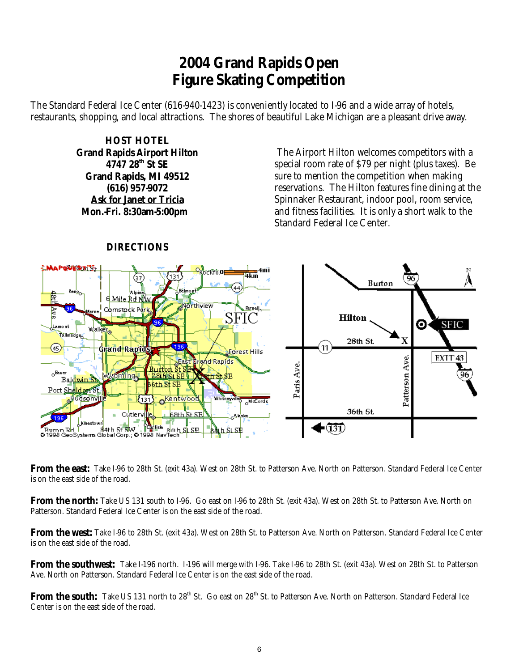## **2004 Grand Rapids Open Figure Skating Competition**

The Standard Federal Ice Center (616-940-1423) is conveniently located to I-96 and a wide array of hotels, restaurants, shopping, and local attractions. The shores of beautiful Lake Michigan are a pleasant drive away.

> **HOST HOTEL Grand Rapids Airport Hilton 4747 28th St SE Grand Rapids, MI 49512 (616) 957-9072 Ask for Janet or Tricia Mon.-Fri. 8:30am-5:00pm**

 The Airport Hilton welcomes competitors with a special room rate of \$79 per night (plus taxes). Be sure to mention the competition when making reservations. The Hilton features fine dining at the Spinnaker Restaurant, indoor pool, room service, and fitness facilities. It is only a short walk to the Standard Federal Ice Center.



### **DIRECTIONS**

**From the east:** Take I-96 to 28th St. (exit 43a). West on 28th St. to Patterson Ave. North on Patterson. Standard Federal Ice Center is on the east side of the road.

**From the north:** Take US 131 south to I-96. Go east on I-96 to 28th St. (exit 43a). West on 28th St. to Patterson Ave. North on Patterson. Standard Federal Ice Center is on the east side of the road.

**From the west:** Take I-96 to 28th St. (exit 43a). West on 28th St. to Patterson Ave. North on Patterson. Standard Federal Ice Center is on the east side of the road.

**From the southwest:** Take I-196 north. I-196 will merge with I-96. Take I-96 to 28th St. (exit 43a). West on 28th St. to Patterson Ave. North on Patterson. Standard Federal Ice Center is on the east side of the road.

**From the south:** Take US 131 north to 28<sup>th</sup> St. Go east on 28<sup>th</sup> St. to Patterson Ave. North on Patterson. Standard Federal Ice Center is on the east side of the road.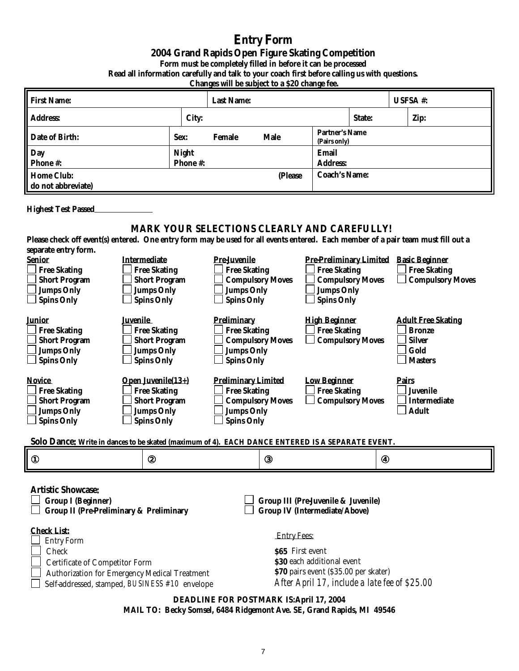### **Entry Form 2004 Grand Rapids Open Figure Skating Competition Form must be completely filled in before it can be processed Read all information carefully and talk to your coach first before calling us with questions.**

 **Changes will be subject to a \$20 change fee.** 

| <b>First Name:</b><br><b>Last Name:</b>                                                                                                                  |                                                                                                                                          |                                                    | <b>USFSA</b> #: |                                            |                                       |              |                                                               |  |
|----------------------------------------------------------------------------------------------------------------------------------------------------------|------------------------------------------------------------------------------------------------------------------------------------------|----------------------------------------------------|-----------------|--------------------------------------------|---------------------------------------|--------------|---------------------------------------------------------------|--|
| <b>Address:</b><br>City:                                                                                                                                 |                                                                                                                                          |                                                    |                 |                                            | State:                                |              | Zip:                                                          |  |
| <b>Date of Birth:</b>                                                                                                                                    | Sex:                                                                                                                                     | <b>Female</b>                                      | <b>Male</b>     |                                            | <b>Partner's Name</b><br>(Pairs only) |              |                                                               |  |
| <b>Night</b><br>Day<br>Phone #:<br><b>Phone#:</b>                                                                                                        |                                                                                                                                          |                                                    |                 | <b>Email</b><br><b>Address:</b>            |                                       |              |                                                               |  |
| <b>Home Club:</b>                                                                                                                                        |                                                                                                                                          |                                                    | (Please         |                                            | <b>Coach's Name:</b>                  |              |                                                               |  |
| do not abbreviate)                                                                                                                                       |                                                                                                                                          |                                                    |                 |                                            |                                       |              |                                                               |  |
| <b>Highest Test Passed</b>                                                                                                                               |                                                                                                                                          |                                                    |                 |                                            |                                       |              |                                                               |  |
|                                                                                                                                                          |                                                                                                                                          | <b>MARK YOUR SELECTIONS CLEARLY AND CAREFULLY!</b> |                 |                                            |                                       |              |                                                               |  |
| Please check off event(s) entered. One entry form may be used for all events entered. Each member of a pair team must fill out a<br>separate entry form. |                                                                                                                                          |                                                    |                 |                                            |                                       |              |                                                               |  |
| <b>Senior</b><br><b>Intermediate</b><br><b>Free Skating</b><br><b>Free Skating</b>                                                                       |                                                                                                                                          | <b>Pre-Juvenile</b><br><b>Free Skating</b>         |                 | <b>Free Skating</b>                        |                                       |              | Pre-Preliminary Limited Basic Beginner<br><b>Free Skating</b> |  |
| <b>Short Program</b><br><b>Short Program</b>                                                                                                             |                                                                                                                                          | <b>Compulsory Moves</b>                            |                 |                                            | <b>Compulsory Moves</b>               |              | <b>Compulsory Moves</b>                                       |  |
| <b>Jumps Only</b><br><b>Jumps Only</b><br><b>Spins Only</b><br><b>Spins Only</b>                                                                         |                                                                                                                                          | <b>Jumps Only</b><br><b>Spins Only</b>             |                 | <b>Jumps Only</b><br><b>Spins Only</b>     |                                       |              |                                                               |  |
| <b>Juvenile</b><br><b>Junior</b>                                                                                                                         |                                                                                                                                          | <b>Preliminary</b>                                 |                 | <b>High Beginner</b>                       |                                       |              | <b>Adult Free Skating</b>                                     |  |
| <b>Free Skating</b><br><b>Free Skating</b><br><b>Short Program</b><br><b>Short Program</b>                                                               |                                                                                                                                          | <b>Free Skating</b><br><b>Compulsory Moves</b>     |                 | <b>Free Skating</b>                        | <b>Compulsory Moves</b>               |              | <b>Bronze</b><br><b>Silver</b>                                |  |
| <b>Jumps Only</b><br><b>Jumps Only</b>                                                                                                                   |                                                                                                                                          | <b>Jumps Only</b>                                  |                 |                                            |                                       |              | Gold                                                          |  |
| <b>Spins Only</b><br><b>Spins Only</b>                                                                                                                   |                                                                                                                                          | <b>Spins Only</b>                                  |                 |                                            |                                       |              | <b>Masters</b>                                                |  |
| <b>Novice</b><br><b>Open Juvenile(13+)</b><br><b>Free Skating</b>                                                                                        |                                                                                                                                          | <b>Preliminary Limited</b>                         |                 | <b>Low Beginner</b><br><b>Free Skating</b> |                                       | <b>Pairs</b> | <b>Juvenile</b>                                               |  |
| <b>Free Skating</b><br><b>Short Program</b><br><b>Short Program</b>                                                                                      |                                                                                                                                          | <b>Free Skating</b><br><b>Compulsory Moves</b>     |                 |                                            | <b>Compulsory Moves</b>               |              | <b>Intermediate</b>                                           |  |
| <b>Jumps Only</b><br><b>Jumps Only</b><br><b>Spins Only</b><br><b>Spins Only</b>                                                                         |                                                                                                                                          | <b>Jumps Only</b><br><b>Spins Only</b>             |                 |                                            |                                       |              | <b>Adult</b>                                                  |  |
|                                                                                                                                                          |                                                                                                                                          |                                                    |                 |                                            |                                       |              |                                                               |  |
| Solo Dance: Write in dances to be skated (maximum of 4). EACH DANCE ENTERED IS A SEPARATE EVENT.                                                         |                                                                                                                                          |                                                    |                 |                                            |                                       |              |                                                               |  |
| $^{\circ}$<br>2                                                                                                                                          |                                                                                                                                          |                                                    | 3               |                                            | $^{\circledR}$                        |              |                                                               |  |
| <b>Artistic Showcase:</b>                                                                                                                                |                                                                                                                                          |                                                    |                 |                                            |                                       |              |                                                               |  |
| <b>Group I (Beginner)</b><br><b>Group III (Pre-Juvenile &amp; Juvenile)</b>                                                                              |                                                                                                                                          |                                                    |                 |                                            |                                       |              |                                                               |  |
| <b>Group II (Pre-Preliminary &amp; Preliminary</b><br><b>Group IV (Intermediate/Above)</b>                                                               |                                                                                                                                          |                                                    |                 |                                            |                                       |              |                                                               |  |
| <b>Check List:</b><br><b>Entry Fees:</b>                                                                                                                 |                                                                                                                                          |                                                    |                 |                                            |                                       |              |                                                               |  |
| <b>Entry Form</b><br>Check                                                                                                                               |                                                                                                                                          | \$65 First event                                   |                 |                                            |                                       |              |                                                               |  |
| <b>Certificate of Competitor Form</b>                                                                                                                    | \$30 each additional event                                                                                                               |                                                    |                 |                                            |                                       |              |                                                               |  |
| <b>Authorization for Emergency Medical Treatment</b>                                                                                                     | \$70 pairs event (\$35.00 per skater)<br>After April 17, include a late fee of \$25.00<br>Self-addressed, stamped, BUSINESS #10 envelope |                                                    |                 |                                            |                                       |              |                                                               |  |

**DEADLINE FOR POSTMARK IS: April 17, 2004 MAIL TO: Becky Somsel, 6484 Ridgemont Ave. SE, Grand Rapids, MI 49546**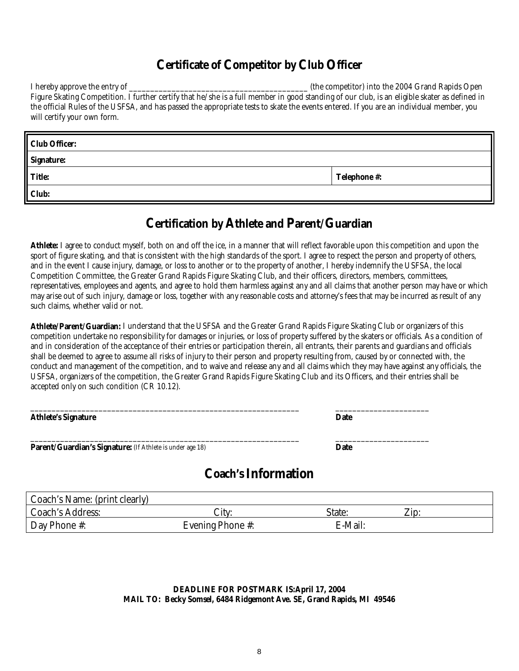### **Certificate of Competitor by Club Officer**

I hereby approve the entry of **EXECUTE:** The competitor into the 2004 Grand Rapids Open Figure Skating Competition. I further certify that he/she is a full member in good standing of our club, is an eligible skater as defined in the official Rules of the USFSA, and has passed the appropriate tests to skate the events entered. If you are an individual member, you will certify your own form.

| <b>Club Officer:</b> |                     |
|----------------------|---------------------|
| <b>Signature:</b>    |                     |
| <b>Title:</b>        | <b>Telephone #:</b> |
| Club:                |                     |

### **Certification by Athlete and Parent/Guardian**

**Athlete:** I agree to conduct myself, both on and off the ice, in a manner that will reflect favorable upon this competition and upon the sport of figure skating, and that is consistent with the high standards of the sport. I agree to respect the person and property of others, and in the event I cause injury, damage, or loss to another or to the property of another, I hereby indemnify the USFSA, the local Competition Committee, the Greater Grand Rapids Figure Skating Club, and their officers, directors, members, committees, representatives, employees and agents, and agree to hold them harmless against any and all claims that another person may have or which may arise out of such injury, damage or loss, together with any reasonable costs and attorney's fees that may be incurred as result of any such claims, whether valid or not.

**Athlete/Parent/Guardian:** I understand that the USFSA and the Greater Grand Rapids Figure Skating Club or organizers of this competition undertake no responsibility for damages or injuries, or loss of property suffered by the skaters or officials. As a condition of and in consideration of the acceptance of their entries or participation therein, all entrants, their parents and guardians and officials shall be deemed to agree to assume all risks of injury to their person and property resulting from, caused by or connected with, the conduct and management of the competition, and to waive and release any and all claims which they may have against any officials, the USFSA, organizers of the competition, the Greater Grand Rapids Figure Skating Club and its Officers, and their entries shall be accepted only on such condition (CR 10.12).

| <b>Athlete's Signature</b>                                | <b>Date</b> |  |
|-----------------------------------------------------------|-------------|--|
| Parent/Guardian's Signature: (If Athlete is under age 18) | <b>Date</b> |  |

### **Coach's Information**

| Coach's Name: (print clearly) |                         |         |      |
|-------------------------------|-------------------------|---------|------|
| <b>Coach's Address:</b>       | .itv:                   | State:  | Zip: |
| <b>Day Phone #:</b>           | <b>Evening Phone #:</b> | E-Mail: |      |

#### **DEADLINE FOR POSTMARK IS: April 17, 2004 MAIL TO: Becky Somsel, 6484 Ridgemont Ave. SE, Grand Rapids, MI 49546**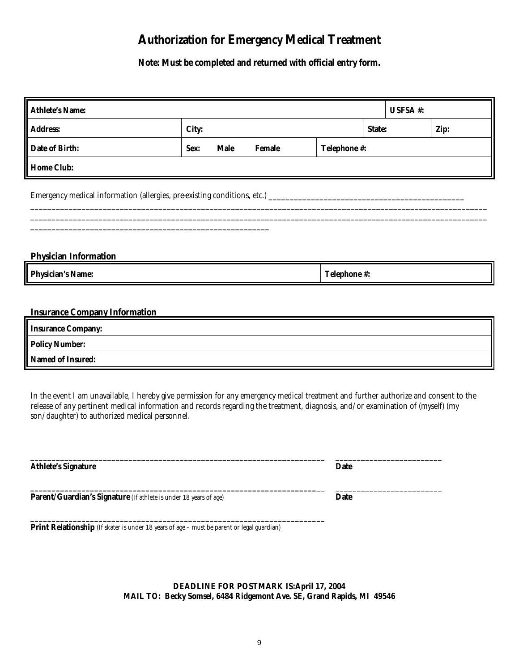### **Authorization for Emergency Medical Treatment**

**Note: Must be completed and returned with official entry form.** 

| <b>Athlete's Name:</b>                                                                                                                                                                                                                                                                                                    |                                                      |  |  |                     |  | USFSA #: |  |
|---------------------------------------------------------------------------------------------------------------------------------------------------------------------------------------------------------------------------------------------------------------------------------------------------------------------------|------------------------------------------------------|--|--|---------------------|--|----------|--|
| <b>Address:</b>                                                                                                                                                                                                                                                                                                           | City:                                                |  |  | State:              |  | Zip:     |  |
| <b>Date of Birth:</b>                                                                                                                                                                                                                                                                                                     | <b>Male</b><br>Telephone #:<br><b>Female</b><br>Sex: |  |  |                     |  |          |  |
| <b>Home Club:</b>                                                                                                                                                                                                                                                                                                         |                                                      |  |  |                     |  |          |  |
|                                                                                                                                                                                                                                                                                                                           |                                                      |  |  |                     |  |          |  |
|                                                                                                                                                                                                                                                                                                                           |                                                      |  |  |                     |  |          |  |
| <b>Physician Information</b>                                                                                                                                                                                                                                                                                              |                                                      |  |  |                     |  |          |  |
| <b>Physician's Name:</b>                                                                                                                                                                                                                                                                                                  |                                                      |  |  | <b>Telephone #:</b> |  |          |  |
|                                                                                                                                                                                                                                                                                                                           |                                                      |  |  |                     |  |          |  |
| <b>Insurance Company Information</b>                                                                                                                                                                                                                                                                                      |                                                      |  |  |                     |  |          |  |
| <b>Insurance Company:</b>                                                                                                                                                                                                                                                                                                 |                                                      |  |  |                     |  |          |  |
| <b>Policy Number:</b>                                                                                                                                                                                                                                                                                                     |                                                      |  |  |                     |  |          |  |
| <b>Named of Insured:</b>                                                                                                                                                                                                                                                                                                  |                                                      |  |  |                     |  |          |  |
| In the event I am unavailable, I hereby give permission for any emergency medical treatment and further authorize and consent to the<br>release of any pertinent medical information and records regarding the treatment, diagnosis, and/or examination of (myself) (my<br>son/daughter) to authorized medical personnel. |                                                      |  |  |                     |  |          |  |

| <b>Athlete's Signature</b>                                        | Date |
|-------------------------------------------------------------------|------|
| Parent/Guardian's Signature (If athlete is under 18 years of age) | Date |
|                                                                   |      |

**Print Relationship** (If skater is under 18 years of age – must be parent or legal guardian)

**DEADLINE FOR POSTMARK IS: April 17, 2004 MAIL TO: Becky Somsel, 6484 Ridgemont Ave. SE, Grand Rapids, MI 49546**